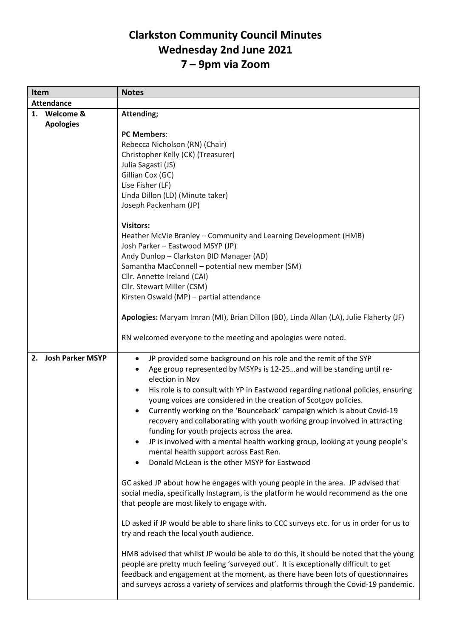## **Clarkston Community Council Minutes Wednesday 2nd June 2021 7 – 9pm via Zoom**

| <b>Item</b>       |                                  | <b>Notes</b>                                                                                                                                                                                                                                                                                                                                                                                                                                                                                                                                                                                                                                                                                                                      |
|-------------------|----------------------------------|-----------------------------------------------------------------------------------------------------------------------------------------------------------------------------------------------------------------------------------------------------------------------------------------------------------------------------------------------------------------------------------------------------------------------------------------------------------------------------------------------------------------------------------------------------------------------------------------------------------------------------------------------------------------------------------------------------------------------------------|
| <b>Attendance</b> |                                  |                                                                                                                                                                                                                                                                                                                                                                                                                                                                                                                                                                                                                                                                                                                                   |
|                   | 1. Welcome &<br><b>Apologies</b> | Attending;                                                                                                                                                                                                                                                                                                                                                                                                                                                                                                                                                                                                                                                                                                                        |
|                   |                                  | <b>PC Members:</b><br>Rebecca Nicholson (RN) (Chair)<br>Christopher Kelly (CK) (Treasurer)<br>Julia Sagasti (JS)<br>Gillian Cox (GC)<br>Lise Fisher (LF)<br>Linda Dillon (LD) (Minute taker)<br>Joseph Packenham (JP)                                                                                                                                                                                                                                                                                                                                                                                                                                                                                                             |
|                   |                                  | <b>Visitors:</b><br>Heather McVie Branley - Community and Learning Development (HMB)<br>Josh Parker - Eastwood MSYP (JP)<br>Andy Dunlop - Clarkston BID Manager (AD)<br>Samantha MacConnell - potential new member (SM)<br>Cllr. Annette Ireland (CAI)<br>Cllr. Stewart Miller (CSM)                                                                                                                                                                                                                                                                                                                                                                                                                                              |
|                   |                                  | Kirsten Oswald (MP) - partial attendance                                                                                                                                                                                                                                                                                                                                                                                                                                                                                                                                                                                                                                                                                          |
|                   |                                  | Apologies: Maryam Imran (MI), Brian Dillon (BD), Linda Allan (LA), Julie Flaherty (JF)                                                                                                                                                                                                                                                                                                                                                                                                                                                                                                                                                                                                                                            |
|                   |                                  | RN welcomed everyone to the meeting and apologies were noted.                                                                                                                                                                                                                                                                                                                                                                                                                                                                                                                                                                                                                                                                     |
| 2.                | <b>Josh Parker MSYP</b>          | JP provided some background on his role and the remit of the SYP<br>$\bullet$<br>Age group represented by MSYPs is 12-25  and will be standing until re-<br>$\bullet$<br>election in Nov<br>His role is to consult with YP in Eastwood regarding national policies, ensuring<br>young voices are considered in the creation of Scotgov policies.<br>Currently working on the 'Bounceback' campaign which is about Covid-19<br>recovery and collaborating with youth working group involved in attracting<br>funding for youth projects across the area.<br>JP is involved with a mental health working group, looking at young people's<br>mental health support across East Ren.<br>Donald McLean is the other MSYP for Eastwood |
|                   |                                  | GC asked JP about how he engages with young people in the area. JP advised that<br>social media, specifically Instagram, is the platform he would recommend as the one<br>that people are most likely to engage with.                                                                                                                                                                                                                                                                                                                                                                                                                                                                                                             |
|                   |                                  | LD asked if JP would be able to share links to CCC surveys etc. for us in order for us to<br>try and reach the local youth audience.                                                                                                                                                                                                                                                                                                                                                                                                                                                                                                                                                                                              |
|                   |                                  | HMB advised that whilst JP would be able to do this, it should be noted that the young<br>people are pretty much feeling 'surveyed out'. It is exceptionally difficult to get<br>feedback and engagement at the moment, as there have been lots of questionnaires<br>and surveys across a variety of services and platforms through the Covid-19 pandemic.                                                                                                                                                                                                                                                                                                                                                                        |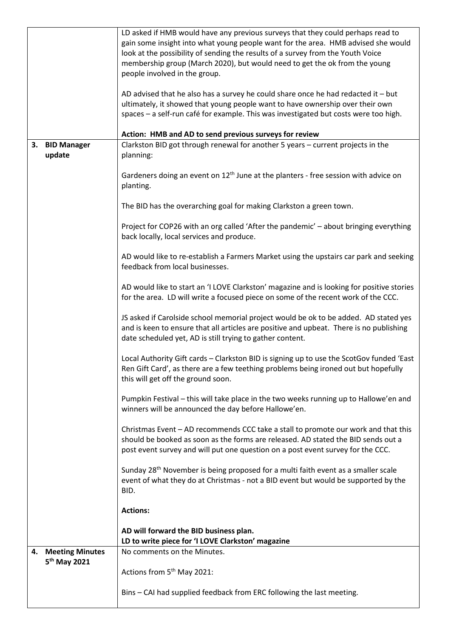|                          | LD asked if HMB would have any previous surveys that they could perhaps read to<br>gain some insight into what young people want for the area. HMB advised she would<br>look at the possibility of sending the results of a survey from the Youth Voice<br>membership group (March 2020), but would need to get the ok from the young<br>people involved in the group.<br>AD advised that he also has a survey he could share once he had redacted it $-$ but<br>ultimately, it showed that young people want to have ownership over their own |
|--------------------------|------------------------------------------------------------------------------------------------------------------------------------------------------------------------------------------------------------------------------------------------------------------------------------------------------------------------------------------------------------------------------------------------------------------------------------------------------------------------------------------------------------------------------------------------|
|                          | spaces - a self-run café for example. This was investigated but costs were too high.                                                                                                                                                                                                                                                                                                                                                                                                                                                           |
|                          | Action: HMB and AD to send previous surveys for review                                                                                                                                                                                                                                                                                                                                                                                                                                                                                         |
| 3. BID Manager<br>update | Clarkston BID got through renewal for another 5 years - current projects in the<br>planning:                                                                                                                                                                                                                                                                                                                                                                                                                                                   |
|                          | Gardeners doing an event on 12 <sup>th</sup> June at the planters - free session with advice on<br>planting.                                                                                                                                                                                                                                                                                                                                                                                                                                   |
|                          | The BID has the overarching goal for making Clarkston a green town.                                                                                                                                                                                                                                                                                                                                                                                                                                                                            |
|                          | Project for COP26 with an org called 'After the pandemic' - about bringing everything<br>back locally, local services and produce.                                                                                                                                                                                                                                                                                                                                                                                                             |
|                          | AD would like to re-establish a Farmers Market using the upstairs car park and seeking<br>feedback from local businesses.                                                                                                                                                                                                                                                                                                                                                                                                                      |
|                          | AD would like to start an 'I LOVE Clarkston' magazine and is looking for positive stories<br>for the area. LD will write a focused piece on some of the recent work of the CCC.                                                                                                                                                                                                                                                                                                                                                                |
|                          | JS asked if Carolside school memorial project would be ok to be added. AD stated yes<br>and is keen to ensure that all articles are positive and upbeat. There is no publishing<br>date scheduled yet, AD is still trying to gather content.                                                                                                                                                                                                                                                                                                   |
|                          | Local Authority Gift cards - Clarkston BID is signing up to use the ScotGov funded 'East<br>Ren Gift Card', as there are a few teething problems being ironed out but hopefully<br>this will get off the ground soon.                                                                                                                                                                                                                                                                                                                          |
|                          | Pumpkin Festival - this will take place in the two weeks running up to Hallowe'en and<br>winners will be announced the day before Hallowe'en.                                                                                                                                                                                                                                                                                                                                                                                                  |
|                          | Christmas Event - AD recommends CCC take a stall to promote our work and that this<br>should be booked as soon as the forms are released. AD stated the BID sends out a<br>post event survey and will put one question on a post event survey for the CCC.                                                                                                                                                                                                                                                                                     |
|                          | Sunday 28 <sup>th</sup> November is being proposed for a multi faith event as a smaller scale<br>event of what they do at Christmas - not a BID event but would be supported by the<br>BID.                                                                                                                                                                                                                                                                                                                                                    |
|                          | <b>Actions:</b>                                                                                                                                                                                                                                                                                                                                                                                                                                                                                                                                |
|                          | AD will forward the BID business plan.<br>LD to write piece for 'I LOVE Clarkston' magazine                                                                                                                                                                                                                                                                                                                                                                                                                                                    |
| 4. Meeting Minutes       | No comments on the Minutes.                                                                                                                                                                                                                                                                                                                                                                                                                                                                                                                    |
| 5 <sup>th</sup> May 2021 | Actions from 5 <sup>th</sup> May 2021:                                                                                                                                                                                                                                                                                                                                                                                                                                                                                                         |
|                          | Bins - CAI had supplied feedback from ERC following the last meeting.                                                                                                                                                                                                                                                                                                                                                                                                                                                                          |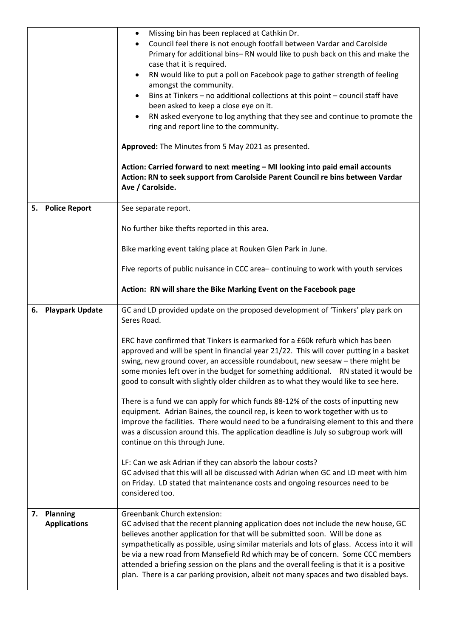|                                    | Missing bin has been replaced at Cathkin Dr.<br>$\bullet$<br>Council feel there is not enough footfall between Vardar and Carolside<br>$\bullet$<br>Primary for additional bins-RN would like to push back on this and make the<br>case that it is required.<br>RN would like to put a poll on Facebook page to gather strength of feeling<br>$\bullet$<br>amongst the community.<br>Bins at Tinkers - no additional collections at this point - council staff have<br>been asked to keep a close eye on it.<br>RN asked everyone to log anything that they see and continue to promote the<br>$\bullet$<br>ring and report line to the community.<br>Approved: The Minutes from 5 May 2021 as presented.<br>Action: Carried forward to next meeting - MI looking into paid email accounts<br>Action: RN to seek support from Carolside Parent Council re bins between Vardar<br>Ave / Carolside. |
|------------------------------------|---------------------------------------------------------------------------------------------------------------------------------------------------------------------------------------------------------------------------------------------------------------------------------------------------------------------------------------------------------------------------------------------------------------------------------------------------------------------------------------------------------------------------------------------------------------------------------------------------------------------------------------------------------------------------------------------------------------------------------------------------------------------------------------------------------------------------------------------------------------------------------------------------|
| <b>Police Report</b><br>5.         | See separate report.                                                                                                                                                                                                                                                                                                                                                                                                                                                                                                                                                                                                                                                                                                                                                                                                                                                                              |
|                                    | No further bike thefts reported in this area.                                                                                                                                                                                                                                                                                                                                                                                                                                                                                                                                                                                                                                                                                                                                                                                                                                                     |
|                                    | Bike marking event taking place at Rouken Glen Park in June.                                                                                                                                                                                                                                                                                                                                                                                                                                                                                                                                                                                                                                                                                                                                                                                                                                      |
|                                    | Five reports of public nuisance in CCC area-continuing to work with youth services                                                                                                                                                                                                                                                                                                                                                                                                                                                                                                                                                                                                                                                                                                                                                                                                                |
|                                    | Action: RN will share the Bike Marking Event on the Facebook page                                                                                                                                                                                                                                                                                                                                                                                                                                                                                                                                                                                                                                                                                                                                                                                                                                 |
| 6. Playpark Update                 | GC and LD provided update on the proposed development of 'Tinkers' play park on<br>Seres Road.                                                                                                                                                                                                                                                                                                                                                                                                                                                                                                                                                                                                                                                                                                                                                                                                    |
|                                    | ERC have confirmed that Tinkers is earmarked for a £60k refurb which has been<br>approved and will be spent in financial year 21/22. This will cover putting in a basket<br>swing, new ground cover, an accessible roundabout, new seesaw - there might be<br>some monies left over in the budget for something additional. RN stated it would be<br>good to consult with slightly older children as to what they would like to see here.                                                                                                                                                                                                                                                                                                                                                                                                                                                         |
|                                    | There is a fund we can apply for which funds 88-12% of the costs of inputting new<br>equipment. Adrian Baines, the council rep, is keen to work together with us to<br>improve the facilities. There would need to be a fundraising element to this and there<br>was a discussion around this. The application deadline is July so subgroup work will<br>continue on this through June.                                                                                                                                                                                                                                                                                                                                                                                                                                                                                                           |
|                                    | LF: Can we ask Adrian if they can absorb the labour costs?<br>GC advised that this will all be discussed with Adrian when GC and LD meet with him<br>on Friday. LD stated that maintenance costs and ongoing resources need to be<br>considered too.                                                                                                                                                                                                                                                                                                                                                                                                                                                                                                                                                                                                                                              |
| 7. Planning<br><b>Applications</b> | <b>Greenbank Church extension:</b><br>GC advised that the recent planning application does not include the new house, GC<br>believes another application for that will be submitted soon. Will be done as<br>sympathetically as possible, using similar materials and lots of glass. Access into it will<br>be via a new road from Mansefield Rd which may be of concern. Some CCC members<br>attended a briefing session on the plans and the overall feeling is that it is a positive<br>plan. There is a car parking provision, albeit not many spaces and two disabled bays.                                                                                                                                                                                                                                                                                                                  |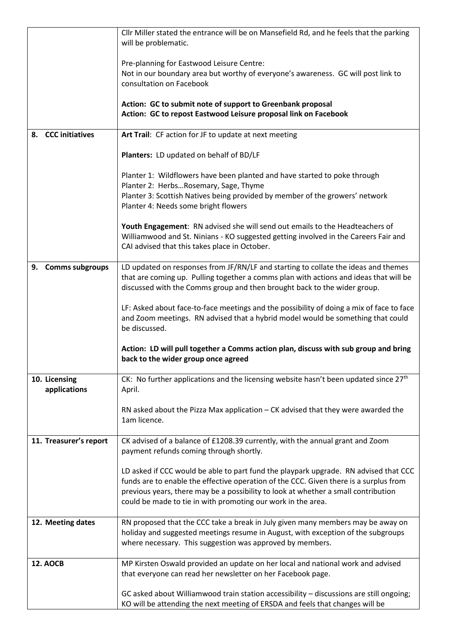|                               | Cllr Miller stated the entrance will be on Mansefield Rd, and he feels that the parking<br>will be problematic.                                                                                                                                                                                                                     |
|-------------------------------|-------------------------------------------------------------------------------------------------------------------------------------------------------------------------------------------------------------------------------------------------------------------------------------------------------------------------------------|
|                               | Pre-planning for Eastwood Leisure Centre:<br>Not in our boundary area but worthy of everyone's awareness. GC will post link to<br>consultation on Facebook                                                                                                                                                                          |
|                               | Action: GC to submit note of support to Greenbank proposal<br>Action: GC to repost Eastwood Leisure proposal link on Facebook                                                                                                                                                                                                       |
| 8. CCC initiatives            | Art Trail: CF action for JF to update at next meeting                                                                                                                                                                                                                                                                               |
|                               | Planters: LD updated on behalf of BD/LF                                                                                                                                                                                                                                                                                             |
|                               | Planter 1: Wildflowers have been planted and have started to poke through<br>Planter 2: HerbsRosemary, Sage, Thyme<br>Planter 3: Scottish Natives being provided by member of the growers' network<br>Planter 4: Needs some bright flowers                                                                                          |
|                               | Youth Engagement: RN advised she will send out emails to the Headteachers of<br>Williamwood and St. Ninians - KO suggested getting involved in the Careers Fair and<br>CAI advised that this takes place in October.                                                                                                                |
| 9. Comms subgroups            | LD updated on responses from JF/RN/LF and starting to collate the ideas and themes<br>that are coming up. Pulling together a comms plan with actions and ideas that will be<br>discussed with the Comms group and then brought back to the wider group.                                                                             |
|                               | LF: Asked about face-to-face meetings and the possibility of doing a mix of face to face<br>and Zoom meetings. RN advised that a hybrid model would be something that could<br>be discussed.                                                                                                                                        |
|                               | Action: LD will pull together a Comms action plan, discuss with sub group and bring<br>back to the wider group once agreed                                                                                                                                                                                                          |
| 10. Licensing<br>applications | CK: No further applications and the licensing website hasn't been updated since $27th$<br>April.                                                                                                                                                                                                                                    |
|                               | RN asked about the Pizza Max application – CK advised that they were awarded the<br>1am licence.                                                                                                                                                                                                                                    |
| 11. Treasurer's report        | CK advised of a balance of £1208.39 currently, with the annual grant and Zoom<br>payment refunds coming through shortly.                                                                                                                                                                                                            |
|                               | LD asked if CCC would be able to part fund the playpark upgrade. RN advised that CCC<br>funds are to enable the effective operation of the CCC. Given there is a surplus from<br>previous years, there may be a possibility to look at whether a small contribution<br>could be made to tie in with promoting our work in the area. |
| 12. Meeting dates             | RN proposed that the CCC take a break in July given many members may be away on<br>holiday and suggested meetings resume in August, with exception of the subgroups<br>where necessary. This suggestion was approved by members.                                                                                                    |
| <b>12. AOCB</b>               | MP Kirsten Oswald provided an update on her local and national work and advised<br>that everyone can read her newsletter on her Facebook page.                                                                                                                                                                                      |
|                               | GC asked about Williamwood train station accessibility - discussions are still ongoing;<br>KO will be attending the next meeting of ERSDA and feels that changes will be                                                                                                                                                            |